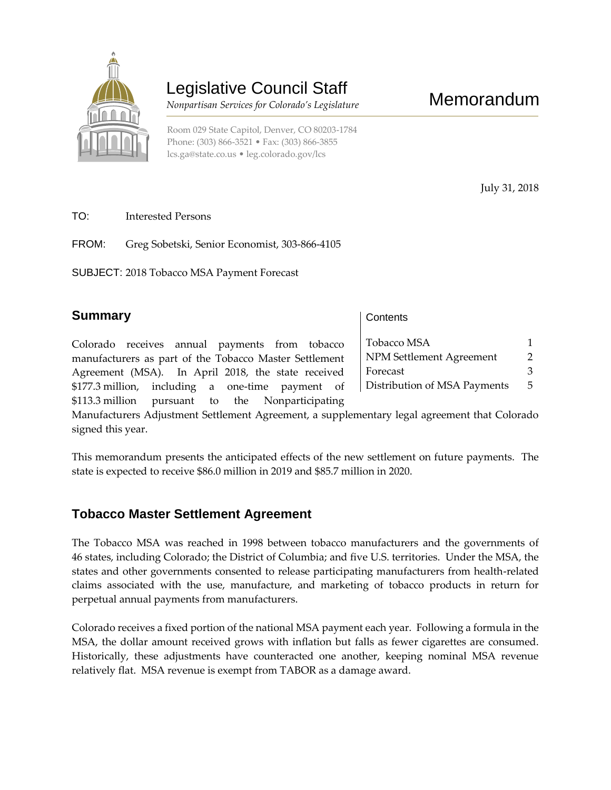

# Legislative Council Staff

 *Nonpartisan Services for Colorado's Legislature*

Room 029 State Capitol, Denver, CO 80203-1784 Phone: (303) 866-3521 • Fax: (303) 866-3855 [lcs.ga@state.co.us](mailto:lcs.ga@state.co.us) • [leg.colorado.gov/lcs](http://leg.colorado.gov/lcs)

July 31, 2018

TO: Interested Persons

FROM: Greg Sobetski, Senior Economist, 303-866-4105

SUBJECT: 2018 Tobacco MSA Payment Forecast

#### **Summary**

**Contents** 

Tobacco MSA 1 NPM Settlement Agreement 2 Forecast 3 Distribution of MSA Payments 5

Colorado receives annual payments from tobacco manufacturers as part of the Tobacco Master Settlement Agreement (MSA). In April 2018, the state received \$177.3 million, including a one-time payment of \$113.3 million pursuant to the Nonparticipating

Manufacturers Adjustment Settlement Agreement, a supplementary legal agreement that Colorado signed this year.

This memorandum presents the anticipated effects of the new settlement on future payments. The state is expected to receive \$86.0 million in 2019 and \$85.7 million in 2020.

### **Tobacco Master Settlement Agreement**

The Tobacco MSA was reached in 1998 between tobacco manufacturers and the governments of 46 states, including Colorado; the District of Columbia; and five U.S. territories. Under the MSA, the states and other governments consented to release participating manufacturers from health-related claims associated with the use, manufacture, and marketing of tobacco products in return for perpetual annual payments from manufacturers.

Colorado receives a fixed portion of the national MSA payment each year. Following a formula in the MSA, the dollar amount received grows with inflation but falls as fewer cigarettes are consumed. Historically, these adjustments have counteracted one another, keeping nominal MSA revenue relatively flat. MSA revenue is exempt from TABOR as a damage award.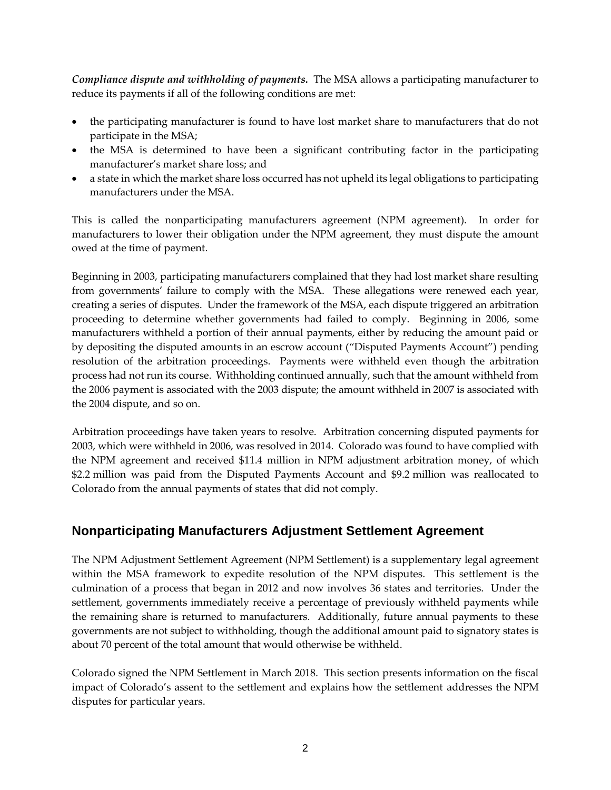*Compliance dispute and withholding of payments.* The MSA allows a participating manufacturer to reduce its payments if all of the following conditions are met:

- the participating manufacturer is found to have lost market share to manufacturers that do not participate in the MSA;
- the MSA is determined to have been a significant contributing factor in the participating manufacturer's market share loss; and
- a state in which the market share loss occurred has not upheld its legal obligations to participating manufacturers under the MSA.

This is called the nonparticipating manufacturers agreement (NPM agreement). In order for manufacturers to lower their obligation under the NPM agreement, they must dispute the amount owed at the time of payment.

Beginning in 2003, participating manufacturers complained that they had lost market share resulting from governments' failure to comply with the MSA. These allegations were renewed each year, creating a series of disputes. Under the framework of the MSA, each dispute triggered an arbitration proceeding to determine whether governments had failed to comply. Beginning in 2006, some manufacturers withheld a portion of their annual payments, either by reducing the amount paid or by depositing the disputed amounts in an escrow account ("Disputed Payments Account") pending resolution of the arbitration proceedings. Payments were withheld even though the arbitration process had not run its course. Withholding continued annually, such that the amount withheld from the 2006 payment is associated with the 2003 dispute; the amount withheld in 2007 is associated with the 2004 dispute, and so on.

Arbitration proceedings have taken years to resolve. Arbitration concerning disputed payments for 2003, which were withheld in 2006, was resolved in 2014. Colorado was found to have complied with the NPM agreement and received \$11.4 million in NPM adjustment arbitration money, of which \$2.2 million was paid from the Disputed Payments Account and \$9.2 million was reallocated to Colorado from the annual payments of states that did not comply.

## **Nonparticipating Manufacturers Adjustment Settlement Agreement**

The NPM Adjustment Settlement Agreement (NPM Settlement) is a supplementary legal agreement within the MSA framework to expedite resolution of the NPM disputes. This settlement is the culmination of a process that began in 2012 and now involves 36 states and territories. Under the settlement, governments immediately receive a percentage of previously withheld payments while the remaining share is returned to manufacturers. Additionally, future annual payments to these governments are not subject to withholding, though the additional amount paid to signatory states is about 70 percent of the total amount that would otherwise be withheld.

Colorado signed the NPM Settlement in March 2018. This section presents information on the fiscal impact of Colorado's assent to the settlement and explains how the settlement addresses the NPM disputes for particular years.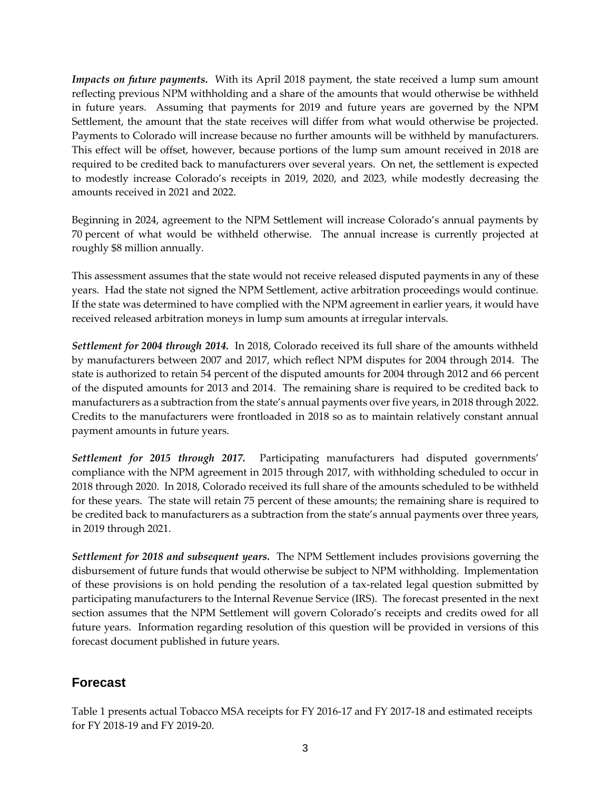*Impacts on future payments.* With its April 2018 payment, the state received a lump sum amount reflecting previous NPM withholding and a share of the amounts that would otherwise be withheld in future years. Assuming that payments for 2019 and future years are governed by the NPM Settlement, the amount that the state receives will differ from what would otherwise be projected. Payments to Colorado will increase because no further amounts will be withheld by manufacturers. This effect will be offset, however, because portions of the lump sum amount received in 2018 are required to be credited back to manufacturers over several years. On net, the settlement is expected to modestly increase Colorado's receipts in 2019, 2020, and 2023, while modestly decreasing the amounts received in 2021 and 2022.

Beginning in 2024, agreement to the NPM Settlement will increase Colorado's annual payments by 70 percent of what would be withheld otherwise. The annual increase is currently projected at roughly \$8 million annually.

This assessment assumes that the state would not receive released disputed payments in any of these years. Had the state not signed the NPM Settlement, active arbitration proceedings would continue. If the state was determined to have complied with the NPM agreement in earlier years, it would have received released arbitration moneys in lump sum amounts at irregular intervals.

*Settlement for 2004 through 2014.* In 2018, Colorado received its full share of the amounts withheld by manufacturers between 2007 and 2017, which reflect NPM disputes for 2004 through 2014. The state is authorized to retain 54 percent of the disputed amounts for 2004 through 2012 and 66 percent of the disputed amounts for 2013 and 2014. The remaining share is required to be credited back to manufacturers as a subtraction from the state's annual payments over five years, in 2018 through 2022. Credits to the manufacturers were frontloaded in 2018 so as to maintain relatively constant annual payment amounts in future years.

*Settlement for 2015 through 2017.* Participating manufacturers had disputed governments' compliance with the NPM agreement in 2015 through 2017, with withholding scheduled to occur in 2018 through 2020. In 2018, Colorado received its full share of the amounts scheduled to be withheld for these years. The state will retain 75 percent of these amounts; the remaining share is required to be credited back to manufacturers as a subtraction from the state's annual payments over three years, in 2019 through 2021.

*Settlement for 2018 and subsequent years.* The NPM Settlement includes provisions governing the disbursement of future funds that would otherwise be subject to NPM withholding. Implementation of these provisions is on hold pending the resolution of a tax-related legal question submitted by participating manufacturers to the Internal Revenue Service (IRS). The forecast presented in the next section assumes that the NPM Settlement will govern Colorado's receipts and credits owed for all future years. Information regarding resolution of this question will be provided in versions of this forecast document published in future years.

# **Forecast**

Table 1 presents actual Tobacco MSA receipts for FY 2016-17 and FY 2017-18 and estimated receipts for FY 2018-19 and FY 2019-20.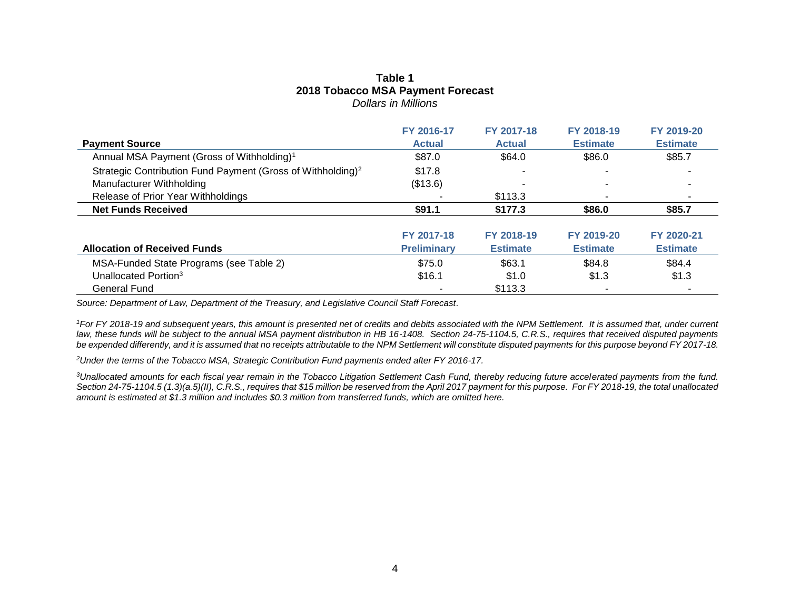#### **Table 1 2018 Tobacco MSA Payment Forecast** *Dollars in Millions*

|                                                                         | FY 2016-17                       | FY 2017-18                    | FY 2018-19                    | FY 2019-20                    |
|-------------------------------------------------------------------------|----------------------------------|-------------------------------|-------------------------------|-------------------------------|
| <b>Payment Source</b>                                                   | <b>Actual</b>                    | <b>Actual</b>                 | <b>Estimate</b>               | <b>Estimate</b>               |
| Annual MSA Payment (Gross of Withholding) <sup>1</sup>                  | \$87.0                           | \$64.0                        | \$86.0                        | \$85.7                        |
| Strategic Contribution Fund Payment (Gross of Withholding) <sup>2</sup> | \$17.8                           |                               |                               |                               |
| Manufacturer Withholding                                                | (\$13.6)                         |                               |                               |                               |
| Release of Prior Year Withholdings                                      |                                  | \$113.3                       |                               |                               |
| <b>Net Funds Received</b>                                               | \$91.1                           | \$177.3                       | \$86.0                        | \$85.7                        |
| <b>Allocation of Received Funds</b>                                     | FY 2017-18<br><b>Preliminary</b> | FY 2018-19<br><b>Estimate</b> | FY 2019-20<br><b>Estimate</b> | FY 2020-21<br><b>Estimate</b> |
|                                                                         |                                  |                               |                               |                               |
| MSA-Funded State Programs (see Table 2)                                 | \$75.0                           | \$63.1                        | \$84.8                        | \$84.4                        |
| Unallocated Portion <sup>3</sup>                                        | \$16.1                           | \$1.0                         | \$1.3                         | \$1.3                         |
| <b>General Fund</b>                                                     |                                  | \$113.3                       |                               |                               |

*Source: Department of Law, Department of the Treasury, and Legislative Council Staff Forecast.*

<sup>1</sup>For FY 2018-19 and subsequent years, this amount is presented net of credits and debits associated with the NPM Settlement. It is assumed that, under current *law, these funds will be subject to the annual MSA payment distribution in HB 16-1408. Section 24-75-1104.5, C.R.S., requires that received disputed payments*  be expended differently, and it is assumed that no receipts attributable to the NPM Settlement will constitute disputed payments for this purpose beyond FY 2017-18.

*<sup>2</sup>Under the terms of the Tobacco MSA, Strategic Contribution Fund payments ended after FY 2016-17.*

*<sup>3</sup>Unallocated amounts for each fiscal year remain in the Tobacco Litigation Settlement Cash Fund, thereby reducing future accelerated payments from the fund. Section 24-75-1104.5 (1.3)(a.5)(II), C.R.S., requires that \$15 million be reserved from the April 2017 payment for this purpose. For FY 2018-19, the total unallocated amount is estimated at \$1.3 million and includes \$0.3 million from transferred funds, which are omitted here.*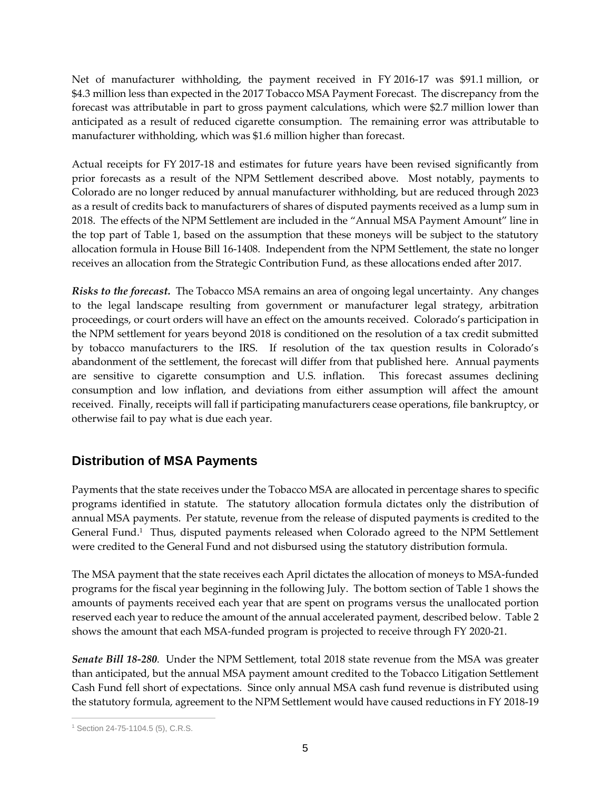Net of manufacturer withholding, the payment received in FY 2016-17 was \$91.1 million, or \$4.3 million less than expected in the 2017 Tobacco MSA Payment Forecast. The discrepancy from the forecast was attributable in part to gross payment calculations, which were \$2.7 million lower than anticipated as a result of reduced cigarette consumption. The remaining error was attributable to manufacturer withholding, which was \$1.6 million higher than forecast.

Actual receipts for FY 2017-18 and estimates for future years have been revised significantly from prior forecasts as a result of the NPM Settlement described above. Most notably, payments to Colorado are no longer reduced by annual manufacturer withholding, but are reduced through 2023 as a result of credits back to manufacturers of shares of disputed payments received as a lump sum in 2018. The effects of the NPM Settlement are included in the "Annual MSA Payment Amount" line in the top part of Table 1, based on the assumption that these moneys will be subject to the statutory allocation formula in House Bill 16-1408. Independent from the NPM Settlement, the state no longer receives an allocation from the Strategic Contribution Fund, as these allocations ended after 2017.

*Risks to the forecast.* The Tobacco MSA remains an area of ongoing legal uncertainty. Any changes to the legal landscape resulting from government or manufacturer legal strategy, arbitration proceedings, or court orders will have an effect on the amounts received. Colorado's participation in the NPM settlement for years beyond 2018 is conditioned on the resolution of a tax credit submitted by tobacco manufacturers to the IRS. If resolution of the tax question results in Colorado's abandonment of the settlement, the forecast will differ from that published here. Annual payments are sensitive to cigarette consumption and U.S. inflation. This forecast assumes declining consumption and low inflation, and deviations from either assumption will affect the amount received. Finally, receipts will fall if participating manufacturers cease operations, file bankruptcy, or otherwise fail to pay what is due each year.

### **Distribution of MSA Payments**

Payments that the state receives under the Tobacco MSA are allocated in percentage shares to specific programs identified in statute. The statutory allocation formula dictates only the distribution of annual MSA payments. Per statute, revenue from the release of disputed payments is credited to the General Fund. 1 Thus, disputed payments released when Colorado agreed to the NPM Settlement were credited to the General Fund and not disbursed using the statutory distribution formula.

The MSA payment that the state receives each April dictates the allocation of moneys to MSA-funded programs for the fiscal year beginning in the following July. The bottom section of Table 1 shows the amounts of payments received each year that are spent on programs versus the unallocated portion reserved each year to reduce the amount of the annual accelerated payment, described below. Table 2 shows the amount that each MSA-funded program is projected to receive through FY 2020-21.

*Senate Bill 18-280*. Under the NPM Settlement, total 2018 state revenue from the MSA was greater than anticipated, but the annual MSA payment amount credited to the Tobacco Litigation Settlement Cash Fund fell short of expectations. Since only annual MSA cash fund revenue is distributed using the statutory formula, agreement to the NPM Settlement would have caused reductions in FY 2018-19

 $\overline{a}$ <sup>1</sup> Section 24-75-1104.5 (5), C.R.S.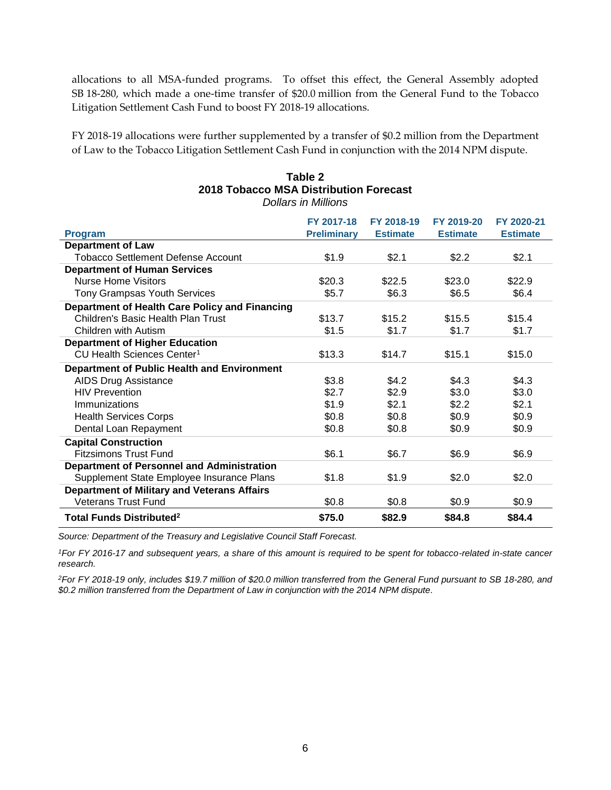allocations to all MSA-funded programs. To offset this effect, the General Assembly adopted SB 18-280, which made a one-time transfer of \$20.0 million from the General Fund to the Tobacco Litigation Settlement Cash Fund to boost FY 2018-19 allocations.

FY 2018-19 allocations were further supplemented by a transfer of \$0.2 million from the Department of Law to the Tobacco Litigation Settlement Cash Fund in conjunction with the 2014 NPM dispute.

#### **Table 2 2018 Tobacco MSA Distribution Forecast** *Dollars in Millions*

| <b>Program</b>                                     | FY 2017-18<br><b>Preliminary</b> | FY 2018-19<br><b>Estimate</b> | FY 2019-20<br><b>Estimate</b> | FY 2020-21<br><b>Estimate</b> |
|----------------------------------------------------|----------------------------------|-------------------------------|-------------------------------|-------------------------------|
| <b>Department of Law</b>                           |                                  |                               |                               |                               |
| <b>Tobacco Settlement Defense Account</b>          | \$1.9                            | \$2.1                         | \$2.2                         | \$2.1                         |
| <b>Department of Human Services</b>                |                                  |                               |                               |                               |
| <b>Nurse Home Visitors</b>                         | \$20.3                           | \$22.5                        | \$23.0                        | \$22.9                        |
| Tony Grampsas Youth Services                       | \$5.7                            | \$6.3                         | \$6.5                         | \$6.4                         |
| Department of Health Care Policy and Financing     |                                  |                               |                               |                               |
| Children's Basic Health Plan Trust                 | \$13.7                           | \$15.2                        | \$15.5                        | \$15.4                        |
| Children with Autism                               | \$1.5                            | \$1.7                         | \$1.7                         | \$1.7                         |
| <b>Department of Higher Education</b>              |                                  |                               |                               |                               |
| CU Health Sciences Center <sup>1</sup>             | \$13.3                           | \$14.7                        | \$15.1                        | \$15.0                        |
| <b>Department of Public Health and Environment</b> |                                  |                               |                               |                               |
| <b>AIDS Drug Assistance</b>                        | \$3.8                            | \$4.2                         | \$4.3                         | \$4.3                         |
| <b>HIV Prevention</b>                              | \$2.7                            | \$2.9                         | \$3.0                         | \$3.0                         |
| Immunizations                                      | \$1.9                            | \$2.1                         | \$2.2                         | \$2.1                         |
| <b>Health Services Corps</b>                       | \$0.8                            | \$0.8                         | \$0.9                         | \$0.9                         |
| Dental Loan Repayment                              | \$0.8                            | \$0.8                         | \$0.9                         | \$0.9                         |
| <b>Capital Construction</b>                        |                                  |                               |                               |                               |
| <b>Fitzsimons Trust Fund</b>                       | \$6.1                            | \$6.7                         | \$6.9                         | \$6.9                         |
| <b>Department of Personnel and Administration</b>  |                                  |                               |                               |                               |
| Supplement State Employee Insurance Plans          | \$1.8                            | \$1.9                         | \$2.0                         | \$2.0                         |
| <b>Department of Military and Veterans Affairs</b> |                                  |                               |                               |                               |
| <b>Veterans Trust Fund</b>                         | \$0.8                            | \$0.8                         | \$0.9                         | \$0.9                         |
| <b>Total Funds Distributed<sup>2</sup></b>         | \$75.0                           | \$82.9                        | \$84.8                        | \$84.4                        |

*Source: Department of the Treasury and Legislative Council Staff Forecast.*

*<sup>1</sup>For FY 2016-17 and subsequent years, a share of this amount is required to be spent for tobacco-related in-state cancer research.*

*<sup>2</sup>For FY 2018-19 only, includes \$19.7 million of \$20.0 million transferred from the General Fund pursuant to SB 18-280, and \$0.2 million transferred from the Department of Law in conjunction with the 2014 NPM dispute.*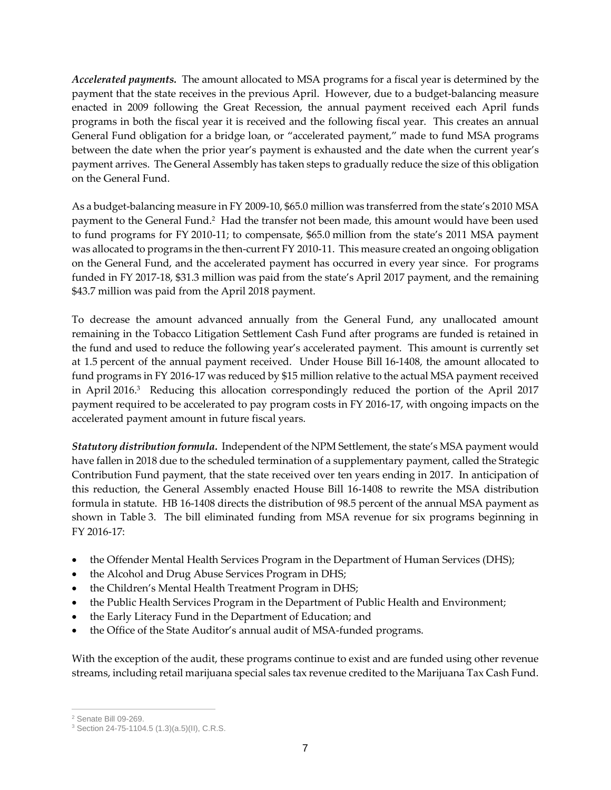*Accelerated payments.* The amount allocated to MSA programs for a fiscal year is determined by the payment that the state receives in the previous April. However, due to a budget-balancing measure enacted in 2009 following the Great Recession, the annual payment received each April funds programs in both the fiscal year it is received and the following fiscal year. This creates an annual General Fund obligation for a bridge loan, or "accelerated payment," made to fund MSA programs between the date when the prior year's payment is exhausted and the date when the current year's payment arrives. The General Assembly has taken steps to gradually reduce the size of this obligation on the General Fund.

As a budget-balancing measure in FY 2009-10, \$65.0 million was transferred from the state's 2010 MSA payment to the General Fund.<sup>2</sup> Had the transfer not been made, this amount would have been used to fund programs for FY 2010-11; to compensate, \$65.0 million from the state's 2011 MSA payment was allocated to programs in the then-current FY 2010-11. This measure created an ongoing obligation on the General Fund, and the accelerated payment has occurred in every year since. For programs funded in FY 2017-18, \$31.3 million was paid from the state's April 2017 payment, and the remaining \$43.7 million was paid from the April 2018 payment.

To decrease the amount advanced annually from the General Fund, any unallocated amount remaining in the Tobacco Litigation Settlement Cash Fund after programs are funded is retained in the fund and used to reduce the following year's accelerated payment. This amount is currently set at 1.5 percent of the annual payment received. Under House Bill 16-1408, the amount allocated to fund programs in FY 2016-17 was reduced by \$15 million relative to the actual MSA payment received in April 2016.<sup>3</sup> Reducing this allocation correspondingly reduced the portion of the April 2017 payment required to be accelerated to pay program costs in FY 2016-17, with ongoing impacts on the accelerated payment amount in future fiscal years.

*Statutory distribution formula.* Independent of the NPM Settlement, the state's MSA payment would have fallen in 2018 due to the scheduled termination of a supplementary payment, called the Strategic Contribution Fund payment, that the state received over ten years ending in 2017. In anticipation of this reduction, the General Assembly enacted House Bill 16-1408 to rewrite the MSA distribution formula in statute. HB 16-1408 directs the distribution of 98.5 percent of the annual MSA payment as shown in Table 3. The bill eliminated funding from MSA revenue for six programs beginning in FY 2016-17:

- the Offender Mental Health Services Program in the Department of Human Services (DHS);
- the Alcohol and Drug Abuse Services Program in DHS;
- the Children's Mental Health Treatment Program in DHS;
- the Public Health Services Program in the Department of Public Health and Environment;
- the Early Literacy Fund in the Department of Education; and
- the Office of the State Auditor's annual audit of MSA-funded programs.

With the exception of the audit, these programs continue to exist and are funded using other revenue streams, including retail marijuana special sales tax revenue credited to the Marijuana Tax Cash Fund.

 $\overline{a}$ 

<sup>2</sup> Senate Bill 09-269.

<sup>3</sup> Section 24-75-1104.5 (1.3)(a.5)(II), C.R.S.